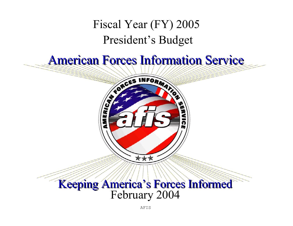# Fiscal Year (FY) 2005 President's Budget

# **American Forces Information Service**



# Keeping America's Forces Informed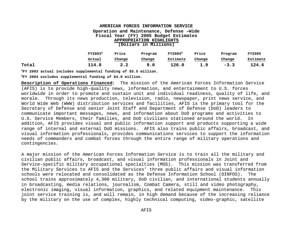#### **AMERICAN FORCES INFORMATION SERVICE Operation and Maintenance, Defense –Wide Fiscal Year (FY) 2005 Budget Estimates APPROPRIATION HIGHLIGHTS (Dollars in Millions)**

|       | FY2003 <sup>1</sup> | Price  | Program |          | Price  | Program | <b>FY2005</b> |
|-------|---------------------|--------|---------|----------|--------|---------|---------------|
|       | Actual              | Change | Change  | Estimate | Change | Change  | Estimate      |
| Total | 114.8               |        | 9.0     | 126.0    | 1.9    | $-3.3$  | 124.6         |

**<sup>1</sup>FY 2003 actual includes supplemental funding of \$5.5 million.**

**<sup>2</sup>FY 2004 excludes supplemental funding of \$4.0 million.** 

**Description of Operations Financed:** The mission of the American Forces Information Service (AFIS) is to provide high-quality news, information, and entertainment to U.S. forces worldwide in order to promote and sustain unit and individual readiness, quality of life, and morale. Through its news production, television, radio, newspaper, print news service, and World Wide Web (WWW) distribution services and facilities, AFIS is the primary tool for the Secretary of Defense and senior Joint Staff and Department of Defense (DoD) leaders to communicate important messages, news, and information about DoD programs and activities to U.S. Service Members, their families, and DoD civilians stationed around the world. In addition, AFIS provides visual and public information support and products supporting a wide range of internal and external DoD missions. AFIS also trains public affairs, broadcast, and visual information professionals, provides communications services to support the information needs of commanders and combat forces through the entire range of military operations and contingencies.

A major mission of the American Forces Information Service is to train all the military and civilian public affairs, broadcast, and visual information professionals in Joint and Service-specific military occupational specialties (MOS). This mission was transferred from the Military Services to AFIS and the Services' three public affairs and visual information schools were relocated and consolidated as the Defense Information School (DINFOS). The school trains approximately 4,300 military, DoD civilian, and international students annually in broadcasting, media relations, journalism, Combat Camera, still and video photography, electronic imaging, visual information, graphics, and related equipment maintenance. This joint service training is, and will remain, in high demand because of the increasing reliance by the military on the use of complex, highly technical computing, video-graphic, satellite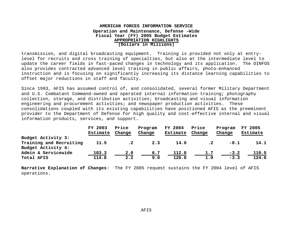#### **AMERICAN FORCES INFORMATION SERVICE Operation and Maintenance, Defense –Wide Fiscal Year (FY) 2005 Budget Estimates APPROPRIATION HIGHLIGHTS (Dollars in Millions)**

transmission, and digital broadcasting equipment. Training is provided not only at entrylevel for recruits and cross training of specialties, but also at the intermediate level to update the career fields in fast-paced changes in technology and its application. The DINFOS also provides contracted advanced level training in public affairs, photo-enhanced instruction and is focusing on significantly increasing its distance learning capabilities to offset major reductions in staff and faculty.

Since 1993, AFIS has assumed control of, and consolidated, several former Military Department and U.S. Combatant Command-owned and operated internal information training; photography collection, storage, and distribution activities; broadcasting and visual information engineering and procurement activities; and newspaper production activities. These consolidations coupled with its existing capabilities have positioned AFIS as the preeminent provider to the Department of Defense for high quality and cost-effective internal and visual information products, services, and support.

|                         | FY 2003  | Price     | Program | FY 2004  | Price  | Program | <b>FY 2005</b> |
|-------------------------|----------|-----------|---------|----------|--------|---------|----------------|
|                         | Estimate | Change    | Change  | Estimate | Change | Change  | Estimate       |
| Budget Activity 3:      |          |           |         |          |        |         |                |
| Training and Recruiting | 11.5     | $\cdot$ 2 | 2.3     | 14.0     |        | $-0.1$  | 14.1           |
| Budget Activity 4:      |          |           |         |          |        |         |                |
| Admin & Servicewide     | 103.3    | 2.0       | 6.7     | 112.0    | 1.7    | $-3.2$  | 110.5          |
| Total AFIS              | 114.8    | 2.2       | 9.0     | 126.0    | 1.9    | $-3.3$  | 124.6          |

**Narrative Explanation of Changes**: The FY 2005 request sustains the FY 2004 level of AFIS operations.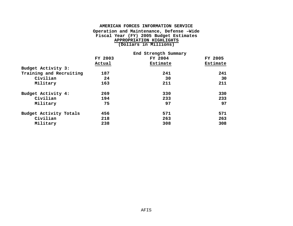#### **AMERICAN FORCES INFORMATION SERVICE Operation and Maintenance, Defense –Wide Fiscal Year (FY) 2005 Budget Estimates APPROPRIATION HIGHLIGHTS (Dollars in Millions)**

|                         | End Strength Summary |          |          |  |  |
|-------------------------|----------------------|----------|----------|--|--|
|                         | FY 2003              | FY 2004  | FY 2005  |  |  |
|                         | Actual               | Estimate | Estimate |  |  |
| Budget Activity 3:      |                      |          |          |  |  |
| Training and Recruiting | 187                  | 241      | 241      |  |  |
| Civilian                | 24                   | 30       | 30       |  |  |
| Military                | 163                  | 211      | 211      |  |  |
| Budget Activity 4:      | 269                  | 330      | 330      |  |  |
| Civilian                | 194                  | 233      | 233      |  |  |
| Military                | 75                   | 97       | 97       |  |  |
| Budget Activity Totals  | 456                  | 571      | 571      |  |  |
| Civilian                | 218                  | 263      | 263      |  |  |
| Military                | 238                  | 308      | 308      |  |  |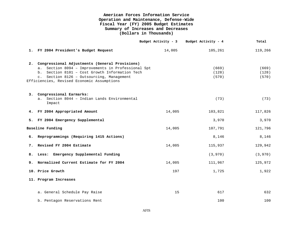# **American Forces Information Service Operation and Maintenance, Defense-Wide Fiscal Year (FY) 2005 Budget Estimates Summary of Increases and Decreases (Dollars in Thousands)**

|    |                                                                                                                                                           | Budget Activity - 3 | Budget Activity - 4 | Total          |
|----|-----------------------------------------------------------------------------------------------------------------------------------------------------------|---------------------|---------------------|----------------|
|    | 1. FY 2004 President's Budget Request                                                                                                                     | 14,005              | 105,261             | 119,266        |
|    | 2. Congressional Adjustments (General Provisions)<br>a. Section 8094 - Improvements in Professional Spt<br>b. Section 8101 - Cost Growth Information Tech |                     | (669)<br>(128)      | (669)<br>(128) |
|    | c. Section 8126 - Outsourcing, Management<br>Efficiencies, Revised Economic Assumptions                                                                   |                     | (570)               | (570)          |
|    | 3. Congressional Earmarks:<br>Section 8044 - Indian Lands Environmental<br>a <sub>1</sub>                                                                 |                     | (73)                | (73)           |
|    | Impact                                                                                                                                                    |                     |                     |                |
|    | 4. FY 2004 Appropriated Amount                                                                                                                            | 14,005              | 103,821             | 117,826        |
|    | 5. FY 2004 Emergency Supplemental                                                                                                                         |                     | 3,970               | 3,970          |
|    | Baseline Funding                                                                                                                                          | 14,005              | 107,791             | 121,796        |
| б. | Reprogrammings (Requiring 1415 Actions)                                                                                                                   |                     | 8,146               | 8,146          |
| 7. | Revised FY 2004 Estimate                                                                                                                                  | 14,005              | 115,937             | 129,942        |
|    | 8. Less: Emergency Supplemental Funding                                                                                                                   |                     | (3,970)             | (3,970)        |
| 9. | Normalized Current Estimate for FY 2004                                                                                                                   | 14,005              | 111,967             | 125,972        |
|    | 10. Price Growth                                                                                                                                          | 197                 | 1,725               | 1,922          |
|    | 11. Program Increases                                                                                                                                     |                     |                     |                |
|    | a. General Schedule Pay Raise                                                                                                                             | 15                  | 617                 | 632            |
|    | b. Pentagon Reservations Rent                                                                                                                             |                     | 100                 | 100            |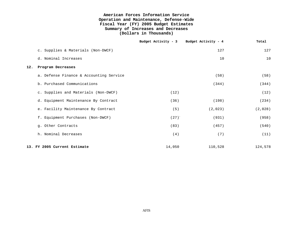#### **American Forces Information Service Operation and Maintenance, Defense-Wide Fiscal Year (FY) 2005 Budget Estimates Summary of Increases and Decreases (Dollars in Thousands)**

|     |                                         | Budget Activity - 3 Budget Activity - 4 |         | Total   |
|-----|-----------------------------------------|-----------------------------------------|---------|---------|
|     | c. Supplies & Materials (Non-DWCF)      |                                         | 127     | 127     |
|     | d. Nominal Increases                    |                                         | 10      | 10      |
| 12. | Program Decreases                       |                                         |         |         |
|     | a. Defense Finance & Accounting Service |                                         | (58)    | (58)    |
|     | b. Purchased Communications             |                                         | (344)   | (344)   |
|     | c. Supplies and Materials (Non-DWCF)    | (12)                                    |         | (12)    |
|     | d. Equipment Maintenance By Contract    | (36)                                    | (198)   | (234)   |
|     | e. Facility Maintenance By Contract     | (5)                                     | (2,023) | (2,028) |
|     | f. Equipment Purchases (Non-DWCF)       | (27)                                    | (931)   | (958)   |
|     | g. Other Contracts                      | (83)                                    | (457)   | (540)   |
|     | h. Nominal Decreases                    | (4)                                     | (7)     | (11)    |
|     | 13. FY 2005 Current Estimate            | 14,050                                  | 110,528 | 124,578 |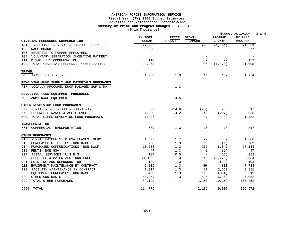#### **AMERICAN FORCES INFORMATION SERVICE Fiscal Year (FY) 2005 Budget Estimates Operation and Maintenance, Defense–Wide Summary of Price and Program Changes – FY 2004 (\$ in Thousands)**

|               |                                               | (b III Inousanus)        |                         |                                |                          |                                                         |
|---------------|-----------------------------------------------|--------------------------|-------------------------|--------------------------------|--------------------------|---------------------------------------------------------|
|               | CIVILIAN PERSONNEL COMPENSATION               | FY 2003<br>PROGRAM       | PRICE<br><b>PERCENT</b> | <b>GROWTH</b><br><b>AMOUNT</b> | PROGRAM<br><b>GROWTH</b> | Budget Activity - $3 \& 4$<br>FY 2004<br><b>PROGRAM</b> |
| 101           | EXECUTIVE, GENERAL & SPECIAL SCHEDULE         | 22,085                   |                         | 905                            | (1, 401)                 | 21,589                                                  |
|               | 103 WAGE BOARD                                | 268                      |                         | $\overline{\phantom{0}}$       | 9                        | 277                                                     |
|               | 106 BENEFITS TO FORMER EMPLOYEES              |                          |                         |                                |                          |                                                         |
|               | 107 VOLUNTARY SEPARATION INCENTIVE PAYMENT    |                          |                         | $\overline{\phantom{a}}$       |                          |                                                         |
|               | 111 DISABILITY COMPENSATION                   | 110                      |                         | $\overline{\phantom{a}}$       | 22                       | 132                                                     |
|               | 199 TOTAL CIVILIAN PERSONNEL COMPENSATION     | 22,463                   |                         | 905                            | (1, 370)                 | 21,998                                                  |
| <b>TRAVEL</b> |                                               |                          |                         |                                |                          |                                                         |
|               | 308 TRAVEL OF PERSONS                         | 1,088                    | 1.3                     | 14                             | 152                      | 1,254                                                   |
|               | REVOLVING FUND SUPPLY AND MATERIALS PURCHASES |                          |                         |                                |                          |                                                         |
|               | 417 LOCALLY PROCURED DWCF MANAGED SUP & MA    | $\overline{\phantom{a}}$ | 1.3                     |                                |                          |                                                         |
|               | REVOLVING FUND EQUIPMENT PURCHASES            |                          |                         |                                |                          |                                                         |
|               | 502 ARMY DWCF EOUIPMENT                       |                          | 4.5                     |                                |                          |                                                         |
|               | OTHER REVOLVING FUND PURCHASES                |                          |                         |                                |                          |                                                         |
|               | 672 PENTAGON RESERVATION MAINTENANCE          | 307                      | $-14.6$                 | (45)                           | 255                      | 517                                                     |
|               | 673 DEFENSE FINANCE & ACCTG SVCS              | 1,000                    | 14.2                    | 142                            | (207)                    | 935                                                     |
|               | 699 TOTAL OTHER REVOLVING FUND PURCHASES      | 1,307                    |                         | 97                             | 48                       | 1,452                                                   |
|               | <b>TRANSPORTATION</b>                         |                          |                         |                                |                          |                                                         |
|               | 771 COMMERCIAL TRANSPORTATION                 | 789                      | 1.3                     | 10                             | 18                       | 817                                                     |
|               | OTHER PURCHASES                               |                          |                         |                                |                          |                                                         |
|               | 912 RENTAL PAYMENTS TO GSA LEASES (SLUC)      | 1,577                    | 1.7                     | 27                             | 2                        | 1,606                                                   |
|               | 913 PURCHASED UTILITIES (NON-DWCF)            | 780                      | 1.3                     | 10                             | (1)                      | 789                                                     |
|               | 914 PURCHASED COMMUNICATIONS (NON-DWCF)       | 18,256                   | 1.3                     | 237                            | 8,641                    | 27,134                                                  |
| 915           | RENTS (NON-GSA)                               | 47                       | 1.3                     | $\mathbf{1}$                   | (1)                      | 47                                                      |
| 917           | POSTAL SERVICES (U.S.P.S.)                    | 187                      | 0.0                     | $\equiv$                       | 165                      | 352                                                     |
|               | 920 SUPPLIES & MATERIALS (NON-DWCF)           | 11,162                   | 1.3                     | 145                            | (7, 773)                 | 3,534                                                   |
|               | 921 PRINTING AND REPRODUCTION                 | 134                      | 1.3                     | 2                              | (33)                     | 103                                                     |
| 922           | EQUIPMENT MAINTENANCE BY CONTRACT             | 6,819                    | 1.3                     | 89                             | 830                      | 7,738                                                   |
| 923           | FACILITY MAINTENANCE BY CONTRACT              | 1,314                    | 1.3                     | 17                             | 2,550                    | 3,881                                                   |
|               | 925 EQUIPMENT PURCHASES (NON-DWCF)            | 8,489                    | 1.3                     | 110                            | (384)                    | 8,215                                                   |
|               | 989 OTHER CONTRACTS                           | 40,364                   | 1.3                     | 525                            | 6,163                    | 47,052                                                  |
| 999           | TOTAL OTHER PURCHASES                         | 89,129                   |                         | 1,163                          | 10,159                   | 100,451                                                 |
|               | 9999 TOTAL                                    | 114,776                  |                         | 2,189                          | 9,007                    | 125,972                                                 |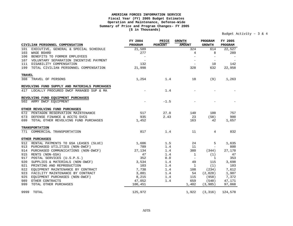#### **AMERICAN FORCES INFORMATION SERVICE Fiscal Year (FY) 2005 Budget Estimates Operation and Maintenance, Defense–Wide Summary of Price and Program Changes– FY 2005 (\$ in Thousands)**

#### Budget Activity – 3 & 4

|               |                                               | FY 2004 | PRICE          | <b>GROWTH</b>            | PROGRAM                  | FY 2005 |
|---------------|-----------------------------------------------|---------|----------------|--------------------------|--------------------------|---------|
|               | CIVILIAN PERSONNEL COMPENSATION               | PROGRAM | <b>PERCENT</b> | <b>AMOUNT</b>            | <b>GROWTH</b>            | PROGRAM |
| 101           | EXECUTIVE, GENERAL & SPECIAL SCHEDULE         | 21,589  |                | 324                      | 614                      | 22,527  |
| 103           | WAGE BOARD                                    | 277     |                | 4                        | 8                        | 289     |
| 106           | BENEFITS TO FORMER EMPLOYEES                  |         |                |                          | $\overline{\phantom{a}}$ |         |
|               | 107 VOLUNTARY SEPARATION INCENTIVE PAYMENT    |         |                | $\overline{\phantom{m}}$ | $\overline{\phantom{a}}$ |         |
|               | 111 DISABILITY COMPENSATION                   | 132     |                | $\overline{\phantom{a}}$ | 10                       | 142     |
|               | 199 TOTAL CIVILIAN PERSONNEL COMPENSATION     | 21,998  |                | 328                      | 632                      | 22,958  |
| <b>TRAVEL</b> |                                               |         |                |                          |                          |         |
|               | 308 TRAVEL OF PERSONS                         | 1,254   | 1.4            | 18                       | (9)                      | 1,263   |
|               | REVOLVING FUND SUPPLY AND MATERIALS PURCHASES |         |                |                          |                          |         |
|               | 417 LOCALLY PROCURED DWCF MANAGED SUP & MA    |         | 1.4            |                          |                          |         |
|               | REVOLVING FUND EQUIPMENT PURCHASES            |         |                |                          |                          |         |
|               | 502 ARMY DWCF EOUIPMENT                       |         | $-1.5$         |                          |                          |         |
|               | OTHER REVOLVING FUND PURCHASES                |         |                |                          |                          |         |
| 672           | PENTAGON RESERVATION MAINTENANCE              | 517     | 27.0           | 140                      | 100                      | 757     |
|               | 673 DEFENSE FINANCE & ACCTG SVCS              | 935     | 2.43           | 23                       | (58)                     | 900     |
|               | 699 TOTAL OTHER REVOLVING FUND PURCHASES      | 1,452   |                | 163                      | 42                       | 1,657   |
|               | <b>TRANSPORTATION</b>                         |         |                |                          |                          |         |
|               | 771 COMMERCIAL TRANSPORTATION                 | 817     | 1.4            | 11                       | 4                        | 832     |
|               | OTHER PURCHASES                               |         |                |                          |                          |         |
|               | 912 RENTAL PAYMENTS TO GSA LEASES (SLUC)      | 1,606   | 1.5            | 24                       | 5                        | 1,635   |
|               | 913 PURCHASED UTILITIES (NON-DWCF)            | 789     | 1.4            | 11                       | $\overline{\phantom{a}}$ | 800     |
| 914           | PURCHASED COMMUNICATIONS (NON-DWCF)           | 27,134  | 1.4            | 380                      | (344)                    | 27,170  |
| 915           | RENTS (NON-GSA)                               | 47      | 1.4            | $\mathbf{1}$             | (1)                      | 47      |
| 917           | POSTAL SERVICES (U.S.P.S.)                    | 352     | 0.0            | $\equiv$                 | 1                        | 353     |
| 920           | SUPPLIES & MATERIALS (NON-DWCF)               | 3,534   | 1.4            | 49                       | 115                      | 3,698   |
| 921           | PRINTING AND REPRODUCTION                     | 103     | 1.4            | $\mathbf{1}$             | (1)                      | 103     |
| 922           | EQUIPMENT MAINTENANCE BY CONTRACT             | 7,738   | 1.4            | 108                      | (234)                    | 7,612   |
| 923           | FACILITY MAINTENANCE BY CONTRACT              | 3,881   | 1.4            | 54                       | (2,028)                  | 1,907   |
| 925           | EQUIPMENT PURCHASES (NON-DWCF)                | 8,215   | 1.4            | 115                      | (958)                    | 7,372   |
| 989           | OTHER CONTRACTS                               | 47,052  | 1.4            | 659                      | (540)                    | 47,171  |
| 999           | TOTAL OTHER PURCHASES                         | 100,451 |                | 1,402                    | (3,985)                  | 97,868  |
| 9999          | TOTAL                                         | 125,972 |                | 1,922                    | (3, 316)                 | 124,578 |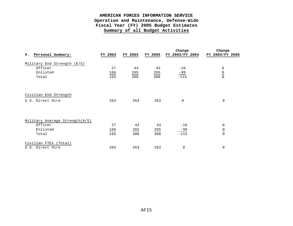|                                           |         |         |         | Change          | Change          |
|-------------------------------------------|---------|---------|---------|-----------------|-----------------|
| Personal Summary:<br>v.                   | FY 2003 | FY 2004 | FY 2005 | FY 2003/FY 2004 | FY 2004/FY 2005 |
| Military End Strength (E/S)               |         |         |         |                 |                 |
| Officer                                   | 27      | 43      | 43      | $-16$           | 0               |
| Enlisted                                  | 166     | 265     | 265     | $-99$           |                 |
| Total                                     | 193     | 308     | 308     | $-115$          | $\frac{0}{0}$   |
| Civilian End Strength<br>U.S. Direct Hire | 263     | 263     | 263     | $\Omega$        | $\mathbf 0$     |
|                                           |         |         |         |                 |                 |
| Military Average Strength(A/S)            |         |         |         |                 |                 |
| Officer                                   | 27      | 43      | 43      | $-16$           | 0               |
| Enlisted                                  | 166     | 265     | 265     | $-99$           | $\frac{0}{0}$   |
| Total                                     | 193     | 308     | 308     | $-115$          |                 |
| Civilian FTEs (Total)                     |         |         |         |                 |                 |
| U.S. Direct Hire                          | 263     | 263     | 263     | $\mathbf 0$     | $\mathbf 0$     |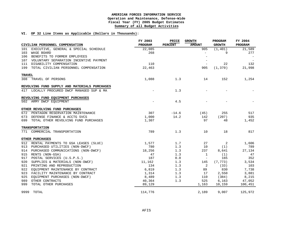#### **VI. OP 32 Line Items as Applicable (Dollars in Thousands):**

|               | CIVILIAN PERSONNEL COMPENSATION               | FY 2003<br>PROGRAM | PRICE<br><b>PERCENT</b> | <b>GROWTH</b><br><b>AMOUNT</b> | PROGRAM<br><b>GROWTH</b> | FY 2004<br>PROGRAM |
|---------------|-----------------------------------------------|--------------------|-------------------------|--------------------------------|--------------------------|--------------------|
| 101           | EXECUTIVE, GENERAL & SPECIAL SCHEDULE         | 22,085             |                         | 905                            | (1, 401)                 | 21,589             |
| 103           | WAGE BOARD                                    | 268                |                         | $\equiv$                       | 9                        | 277                |
| 106           | BENEFITS TO FORMER EMPLOYEES                  |                    |                         | $\overline{\phantom{0}}$       |                          |                    |
| 107           | VOLUNTARY SEPARATION INCENTIVE PAYMENT        |                    |                         |                                |                          |                    |
|               | 111 DISABILITY COMPENSATION                   | 110                |                         |                                | 22                       | 132                |
|               | 199 TOTAL CIVILIAN PERSONNEL COMPENSATION     | 22,463             |                         | 905                            | (1, 370)                 | 21,998             |
| <b>TRAVEL</b> |                                               |                    |                         |                                |                          |                    |
|               | 308 TRAVEL OF PERSONS                         | 1,088              | 1.3                     | 14                             | 152                      | 1,254              |
|               | REVOLVING FUND SUPPLY AND MATERIALS PURCHASES |                    |                         |                                |                          |                    |
|               | 417 LOCALLY PROCURED DWCF MANAGED SUP & MA    |                    | 1.3                     |                                |                          |                    |
|               | REVOLVING FUND EQUIPMENT PURCHASES            |                    |                         |                                |                          |                    |
|               | 502 ARMY DWCF EQUIPMENT                       |                    | 4.5                     |                                |                          |                    |
|               | OTHER REVOLVING FUND PURCHASES                |                    |                         |                                |                          |                    |
|               | 672 PENTAGON RESERVATION MAINTENANCE          | 307                | $-14.6$                 | (45)                           | 255                      | 517                |
|               | 673 DEFENSE FINANCE & ACCTG SVCS              | 1,000              | 14.2                    | 142                            | (207)                    | 935                |
|               | 699 TOTAL OTHER REVOLVING FUND PURCHASES      | 1,307              |                         | 97                             | 48                       | 1,452              |
|               | <b>TRANSPORTATION</b>                         |                    |                         |                                |                          |                    |
|               | 771 COMMERCIAL TRANSPORTATION                 | 789                | 1.3                     | 10                             | 18                       | 817                |
|               | OTHER PURCHASES                               |                    |                         |                                |                          |                    |
| 912           | RENTAL PAYMENTS TO GSA LEASES (SLUC)          | 1,577              | 1.7                     | 27                             | 2                        | 1,606              |
|               | 913 PURCHASED UTILITIES (NON-DWCF)            | 780                | 1.3                     | 10                             | (1)                      | 789                |
|               | 914 PURCHASED COMMUNICATIONS (NON-DWCF)       | 18,256             | 1.3                     | 237                            | 8,641                    | 27,134             |
| 915           | RENTS (NON-GSA)                               | 47                 | 1.3                     | $\mathbf{1}$                   | (1)                      | 47                 |
| 917           | POSTAL SERVICES (U.S.P.S.)                    | 187                | 0.0                     | $\sim$                         | 165                      | 352                |
| 920           | SUPPLIES & MATERIALS (NON-DWCF)               | 11,162             | 1.3                     | 145                            | (7, 773)                 | 3,534              |
| 921           | PRINTING AND REPRODUCTION                     | 134                | 1.3                     | $\overline{c}$                 | (33)                     | 103                |
|               | 922 EQUIPMENT MAINTENANCE BY CONTRACT         | 6,819              | 1.3                     | 89                             | 830                      | 7,738              |
|               | 923 FACILITY MAINTENANCE BY CONTRACT          | 1,314              | 1.3                     | 17                             | 2,550                    | 3,881              |
| 925           | EQUIPMENT PURCHASES (NON-DWCF)                | 8,489              | 1.3                     | 110                            | (384)                    | 8,215              |
| 989           | OTHER CONTRACTS                               | 40,364             | 1.3                     | 525                            | 6,163                    | 47,052             |
| 999           | TOTAL OTHER PURCHASES                         | 89,129             |                         | 1,163                          | 10,159                   | 100,451            |
|               | 9999 TOTAL                                    | 114,776            |                         | 2,189                          | 9,007                    | 125,972            |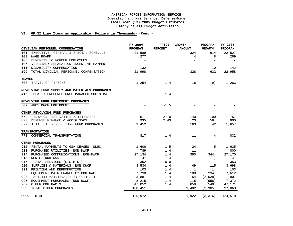#### **VI. OP 32 Line Items as Applicable (Dollars in Thousands) (Cont.):**

|               | CIVILIAN PERSONNEL COMPENSATION               | FY 2004<br>PROGRAM       | PRICE<br>PERCENT | <b>GROWTH</b><br><b>AMOUNT</b> | PROGRAM<br><b>GROWTH</b> | FY 2005<br>PROGRAM |
|---------------|-----------------------------------------------|--------------------------|------------------|--------------------------------|--------------------------|--------------------|
| 101           | EXECUTIVE, GENERAL & SPECIAL SCHEDULE         | 21,589                   |                  | 324                            | 614                      | 22,527             |
| 103           | WAGE BOARD                                    | 277                      |                  | 4                              | 8                        | 289                |
| 106           | BENEFITS TO FORMER EMPLOYEES                  |                          |                  |                                |                          |                    |
|               | 107 VOLUNTARY SEPARATION INCENTIVE PAYMENT    | $\overline{\phantom{a}}$ |                  |                                | $\overline{\phantom{a}}$ |                    |
|               | 111 DISABILITY COMPENSATION                   | 132                      |                  | $\equiv$                       | 10                       | 142                |
|               | 199 TOTAL CIVILIAN PERSONNEL COMPENSATION     | 21,998                   |                  | 328                            | 632                      | 22,958             |
| <b>TRAVEL</b> |                                               |                          |                  |                                |                          |                    |
|               | 308 TRAVEL OF PERSONS                         | 1,254                    | 1.4              | 18                             | (9)                      | 1,263              |
|               | REVOLVING FUND SUPPLY AND MATERIALS PURCHASES |                          |                  |                                |                          |                    |
|               | 417 LOCALLY PROCURED DWCF MANAGED SUP & MA    |                          | 1.4              |                                |                          |                    |
|               | REVOLVING FUND EQUIPMENT PURCHASES            |                          |                  |                                |                          |                    |
|               | 502 ARMY DWCF EQUIPMENT                       |                          | $-1.5$           |                                |                          |                    |
|               | OTHER REVOLVING FUND PURCHASES                |                          |                  |                                |                          |                    |
|               | 672 PENTAGON RESERVATION MAINTENANCE          | 517                      | 27.0             | 140                            | 100                      | 757                |
|               | 673 DEFENSE FINANCE & ACCTG SVCS              | 935                      | 2.43             | 23                             | (58)                     | 900                |
|               | 699 TOTAL OTHER REVOLVING FUND PURCHASES      | 1,452                    |                  | 163                            | 42                       | 1,657              |
|               | <b>TRANSPORTATION</b>                         |                          |                  |                                |                          |                    |
|               | 771 COMMERCIAL TRANSPORTATION                 | 817                      | 1.4              | 11                             | $\overline{4}$           | 832                |
|               | OTHER PURCHASES                               |                          |                  |                                |                          |                    |
|               | 912 RENTAL PAYMENTS TO GSA LEASES (SLUC)      | 1,606                    | 1.5              | 24                             | 5                        | 1,635              |
|               | 913 PURCHASED UTILITIES (NON-DWCF)            | 789                      | 1.4              | 11                             | $\overline{\phantom{a}}$ | 800                |
|               | 914 PURCHASED COMMUNICATIONS (NON-DWCF)       | 27,134                   | 1.4              | 380                            | (344)                    | 27,170             |
|               | 915 RENTS (NON-GSA)                           | 47                       | 1.4              | 1                              | (1)                      | 47                 |
| 917           | POSTAL SERVICES (U.S.P.S.)                    | 352                      | 0.0              | $\overline{\phantom{a}}$       | 1                        | 353                |
| 920           | SUPPLIES & MATERIALS (NON-DWCF)               | 3,534                    | 1.4              | 49                             | 115                      | 3,698              |
| 921           | PRINTING AND REPRODUCTION                     | 103                      | 1.4              | 1                              | (1)                      | 103                |
|               | 922 EQUIPMENT MAINTENANCE BY CONTRACT         | 7,738                    | 1.4              | 108                            | (234)                    | 7,612              |
|               | 923 FACILITY MAINTENANCE BY CONTRACT          | 3,881                    | 1.4              | 54                             | (2,028)                  | 1,907              |
| 925           | EQUIPMENT PURCHASES (NON-DWCF)                | 8,215                    | 1.4              | 115                            | (958)                    | 7,372              |
| 989           | OTHER CONTRACTS                               | 47,052                   | 1.4              | 659                            | (540)                    | 47,171             |
| 999           | TOTAL OTHER PURCHASES                         | 100,451                  |                  | 1,402                          | (3,985)                  | 97,868             |
|               | 9999 TOTAL                                    | 125,972                  |                  | 1,922                          | (3, 316)                 | 124,578            |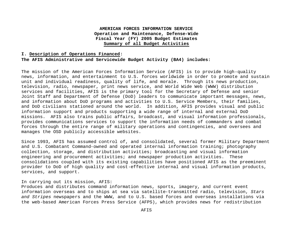#### **I. Description of Operations Financed:**

#### **The AFIS Administrative and Servicewide Budget Activity (BA4) includes:**

The mission of the American Forces Information Service (AFIS) is to provide high-quality news, information, and entertainment to U.S. forces worldwide in order to promote and sustain unit and individual readiness, quality of life, and morale. Through its news production, television, radio, newspaper, print news service, and World Wide Web (WWW) distribution services and facilities, AFIS is the primary tool for the Secretary of Defense and senior Joint Staff and Department of Defense (DoD) leaders to communicate important messages, news, and information about DoD programs and activities to U.S. Service Members, their families, and DoD civilians stationed around the world. In addition, AFIS provides visual and public information support and products supporting a wide range of internal and external DoD missions. AFIS also trains public affairs, broadcast, and visual information professionals, provides communications services to support the information needs of commanders and combat forces through the entire range of military operations and contingencies, and oversees and manages the OSD publicly accessible websites.

Since 1993, AFIS has assumed control of, and consolidated, several former Military Department and U.S. Combatant Command-owned and operated internal information training; photography collection, storage, and distribution activities; broadcasting and visual information engineering and procurement activities; and newspaper production activities. These consolidations coupled with its existing capabilities have positioned AFIS as the preeminent provider to DoD of high quality and cost-effective internal and visual information products, services, and support.

#### In carrying out its mission, AFIS:

Produces and distributes command information news, sports, imagery, and current event information overseas and to ships at sea via satellite-transmitted radio, television, *Stars and Stripes* newspapers and the WWW, and to U.S. based forces and overseas installations via the web-based American Forces Press Service (AFPS), which provides news for redistribution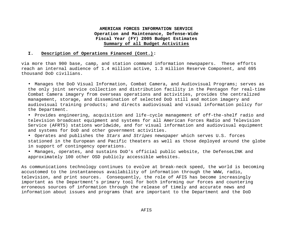#### **I. Description of Operations Financed (Cont.):**

via more than 900 base, camp, and station command information newspapers. These efforts reach an internal audience of 1.4 million active, 1.3 million Reserve Component, and 695 thousand DoD civilians.

• Manages the DoD Visual Information, Combat Camera, and Audiovisual Programs; serves as the only joint service collection and distribution facility in the Pentagon for real-time Combat Camera imagery from overseas operations and activities, provides the centralized management, storage, and dissemination of selected DoD still and motion imagery and audiovisual training products; and directs audiovisual and visual information policy for the Department.

• Provides engineering, acquisition and life-cycle management of off-the-shelf radio and television broadcast equipment and systems for all American Forces Radio and Television Service (AFRTS) stations worldwide, and for visual information and audiovisual equipment and systems for DoD and other government activities.

• Operates and publishes the *Stars and Stripes* newspaper which serves U.S. forces stationed in the European and Pacific theaters as well as those deployed around the globe in support of contingency operations.

• Manages, operates, and sustains DoD's official public website, the DefenseLINK and approximately 100 other OSD publicly accessible websites.

As communications technology continues to evolve at break-neck speed, the world is becoming accustomed to the instantaneous availability of information through the WWW, radio, television, and print sources. Consequently, the role of AFIS has become increasingly important as the Department's primary tool for both informing our forces and countering erroneous sources of information through the release of timely and accurate news and information about issues and programs that are important to the Department and the DoD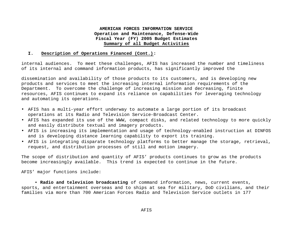#### **I. Description of Operations Financed (Cont.):**

internal audiences. To meet these challenges, AFIS has increased the number and timeliness of its internal and command information products, has significantly improved the

dissemination and availability of those products to its customers, and is developing new products and services to meet the increasing internal information requirements of the Department. To overcome the challenge of increasing mission and decreasing, finite resources, AFIS continues to expand its reliance on capabilities for leveraging technology and automating its operations.

- AFIS has a multi-year effort underway to automate a large portion of its broadcast operations at its Radio and Television Service-Broadcast Center.
- AFIS has expanded its use of the WWW, compact disks, and related technology to more quickly and easily distribute textual and imagery products.
- AFIS is increasing its implementation and usage of technology-enabled instruction at DINFOS and is developing distance learning capability to export its training.
- AFIS is integrating disparate technology platforms to better manage the storage, retrieval, request, and distribution processes of still and motion imagery.

The scope of distribution and quantity of AFIS' products continues to grow as the products become increasingly available. This trend is expected to continue in the future.

AFIS' major functions include:

• **Radio and television broadcasting** of command information, news, current events, sports, and entertainment overseas and to ships at sea for military, DoD civilians, and their families via more than 700 American Forces Radio and Television Service outlets in 177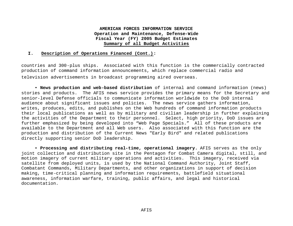#### **I. Description of Operations Financed (Cont.):**

countries and 300-plus ships. Associated with this function is the commercially contracted production of command information announcements, which replace commercial radio and television advertisements in broadcast programming aired overseas.

• **News production and web-based distribution** of internal and command information (news) stories and products. The AFIS news service provides the primary means for the Secretary and senior-level Defense officials to communicate information worldwide to the DoD internal audience about significant issues and policies. The news service gathers information, writes, produces, edits, and publishes on the Web hundreds of command information products their local publications as well as by military and civilian leadership in further explaining the activities of the Department to their personnel. Select, high priority, DoD issues are further emphasized by being developed into "Web Page Specials." All of these products are available to the Department and all Web users. Also associated with this function are the production and distribution of the Current News "Early Bird" and related publications directly supporting senior DoD leadership.

• **Processing and distributing real-time, operational imagery.** AFIS serves as the only joint collection and distribution site in the Pentagon for Combat Camera digital, still, and motion imagery of current military operations and activities. This imagery, received via satellite from deployed units, is used by the National Command Authority, Joint Staff, Combatant Commands, Military Departments, and other organizations in support of decision making, time-critical planning and information requirements, battlefield situational awareness, information warfare, training, public affairs, and legal and historical documentation.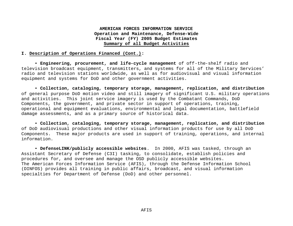#### **I. Description of Operations Financed (Cont.):**

• **Engineering, procurement, and life-cycle management** of off-the-shelf radio and television broadcast equipment, transmitters, and systems for all of the Military Services' radio and television stations worldwide, as well as for audiovisual and visual information equipment and systems for DoD and other government activities.

• **Collection, cataloging, temporary storage, management, replication, and distribution**  of general purpose DoD motion video and still imagery of significant U.S. military operations and activities. This joint service imagery is used by the Combatant Commands, DoD Components, the government, and private sector in support of operations, training, operational and equipment evaluations, environmental and legal documentation, battlefield damage assessments, and as a primary source of historical data.

• **Collection, cataloging, temporary storage, management, replication, and distribution**  of DoD audiovisual productions and other visual information products for use by all DoD Components. These major products are used in support of training, operations, and internal information.

• **DefenseLINK/publicly accessible websites**. In 2000, AFIS was tasked, through an Assistant Secretary of Defense (C3I) tasking, to consolidate, establish policies and procedures for, and oversee and manage the OSD publicly accessible websites. The American Forces Information Service (AFIS), through the Defense Information School (DINFOS) provides all training in public affairs, broadcast, and visual information specialties for Department of Defense (DoD) and other personnel.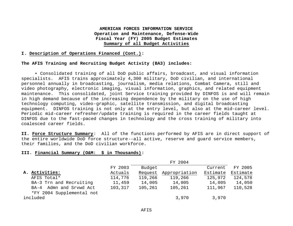#### **I. Description of Operations Financed (Cont.):**

#### **The AFIS Training and Recruiting Budget Activity (BA3) includes:**

• Consolidated training of all DoD public affairs, broadcast, and visual information specialists. AFIS trains approximately 4,300 military, DoD civilian, and international personnel annually in broadcasting, journalism, media relations, Combat Camera, still and video photography, electronic imaging, visual information, graphics, and related equipment maintenance. This consolidated, joint Service training provided by DINFOS is and will remain in high demand because of the increasing dependence by the military on the use of high technology computing, video-graphic, satellite transmission, and digital broadcasting equipment. DINFOS training is not only at the entry level, but also at the mid-career level. Periodic mid-career refresher/update training is required in the career fields taught at DINFOS due to the fast-paced changes in technology and the cross training of military into coalesced career fields.

**II. Force Structure Summary**: All of the functions performed by AFIS are in direct support of the entire worldwide DoD force structure--all active, reserve and guard service members, their families, and the DoD civilian workforce.

#### **III. Financial Summary (O&M: \$ in Thousands):**

|                           | FY 2004 |         |               |          |          |  |
|---------------------------|---------|---------|---------------|----------|----------|--|
|                           | FY 2003 | Budget  |               | Current  | FY 2005  |  |
| A. Activities:            | Actuals | Request | Appropriation | Estimate | Estimate |  |
| AFIS Total*               | 114,776 | 119,266 | 119,266       | 125,972  | 124,578  |  |
| BA-3 Trn and Recruiting   | 11,459  | 14,005  | 14,005        | 14,005   | 14,050   |  |
| BA-4 Admn and Srvwd Act   | 103,317 | 105,261 | 105,261       | 111,967  | 110,528  |  |
| *FY 2004 Supplemental not |         |         |               |          |          |  |
| included                  |         |         | 3,970         | 3,970    |          |  |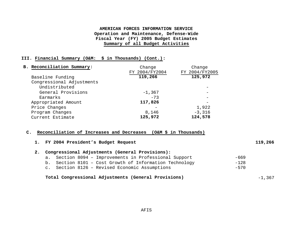#### **III. Financial Summary (O&M: \$ in Thousands) (Cont.):**

| B. Reconciliation Summary: | Change         | Change         |
|----------------------------|----------------|----------------|
|                            | FY 2004/FY2004 | FY 2004/FY2005 |
| Baseline Funding           | 119,266        | 125,972        |
| Congressional Adjustments  |                |                |
| Undistributed              |                |                |
| General Provisions         | $-1,367$       |                |
| Earmarks                   | $-73$          |                |
| Appropriated Amount        | 117,826        |                |
| Price Changes              |                | 1,922          |
| Program Changes            | 8,146          | $-3,316$       |
| Current Estimate           | 125,972        | 124,578        |

#### **C. Reconciliation of Increases and Decreases (O&M \$ in Thousands)**

| 1. FY 2004 President's Budget Request                   | 119,266 |
|---------------------------------------------------------|---------|
| Congressional Adjustments (General Provisions):         |         |
| a. Section 8094 - Improvements in Professional Support  | -669    |
| b. Section 8101 - Cost Growth of Information Technology | $-128$  |
| c. Section 8126 - Revised Economic Assumptions          | $-570$  |
|                                                         |         |

# **Total Congressional Adjustments (General Provisions)** -1,367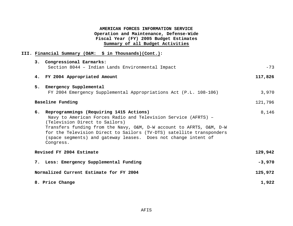# **III. Financial Summary (O&M: \$ in Thousands)(Cont.):**

| 3. Congressional Earmarks:                                                                                                                                                                                                                                                                                                                                                    |          |
|-------------------------------------------------------------------------------------------------------------------------------------------------------------------------------------------------------------------------------------------------------------------------------------------------------------------------------------------------------------------------------|----------|
| Section 8044 - Indian Lands Environmental Impact                                                                                                                                                                                                                                                                                                                              | $-73$    |
| 4. FY 2004 Appropriated Amount                                                                                                                                                                                                                                                                                                                                                | 117,826  |
| 5.<br>Emergency Supplemental                                                                                                                                                                                                                                                                                                                                                  |          |
| FY 2004 Emergency Supplemental Appropriations Act (P.L. 108-106)                                                                                                                                                                                                                                                                                                              | 3,970    |
| Baseline Funding                                                                                                                                                                                                                                                                                                                                                              | 121,796  |
| 6. Reprogrammings (Requiring 1415 Actions)<br>Navy to American Forces Radio and Television Service (AFRTS) -<br>(Television Direct to Sailors)<br>Transfers funding from the Navy, O&M, D-W account to AFRTS, O&M, D-W<br>for the Television Direct to Sailors (TV-DTS) satellite transponders<br>(space segments) and gateway leases. Does not change intent of<br>Congress. | 8,146    |
| Revised FY 2004 Estimate                                                                                                                                                                                                                                                                                                                                                      | 129,942  |
| 7. Less: Emergency Supplemental Funding                                                                                                                                                                                                                                                                                                                                       | $-3,970$ |
| Normalized Current Estimate for FY 2004                                                                                                                                                                                                                                                                                                                                       | 125,972  |
| 8. Price Change                                                                                                                                                                                                                                                                                                                                                               | 1,922    |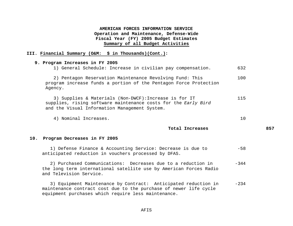#### **III. Financial Summary (O&M: \$ in Thousands)(Cont.):**

# **9. Program Increases in FY 2005** 1) General Schedule: Increase in civilian pay compensation. 632 2) Pentagon Reservation Maintenance Revolving Fund: This program increase funds a portion of the Pentagon Force Protection Agency. 100 3) Supplies & Materials (Non-DWCF):Increase is for IT supplies, rising software maintenance costs for the *Early Bird*  and the Visual Information Management System. 115 4) Nominal Increases. 10 **Total Increases 857 10. Program Decreases in FY 2005**

 1) Defense Finance & Accounting Service: Decrease is due to anticipated reduction in vouchers processed by DFAS. -58

 2) Purchased Communications: Decreases due to a reduction in the long term international satellite use by American Forces Radio and Television Service. -344

 3) Equipment Maintenance by Contract: Anticipated reduction in maintenance contract cost due to the purchase of newer life cycle equipment purchases which require less maintenance. -234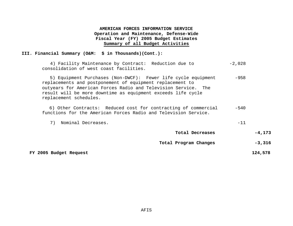#### **III. Financial Summary (O&M: \$ in Thousands)(Cont.):**

 4) Facility Maintenance by Contract: Reduction due to -2,028 consolidation of west coast facilities.

 5) Equipment Purchases (Non-DWCF): Fewer life cycle equipment replacements and postponement of equipment replacement to outyears for American Forces Radio and Television Service. The result will be more downtime as equipment exceeds life cycle replacement schedules. -958

 6) Other Contracts: Reduced cost for contracting of commercial functions for the American Forces Radio and Television Service. -540

|  | Nominal Decreases. |  |  |
|--|--------------------|--|--|
|--|--------------------|--|--|

| Total Decreases | $-4, 173$ |
|-----------------|-----------|
|                 |           |

Total Program Changes -3,316

 **FY 2005 Budget Request 124,578**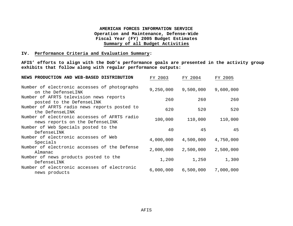#### **IV. Performance Criteria and Evaluation Summary:**

**AFIS' efforts to align with the DoD's performance goals are presented in the activity group exhibits that follow along with regular performance outputs:**

| NEWS PRODUCTION AND WEB-BASED DISTRIBUTION                                      | FY 2003   | FY 2004   | FY 2005   |
|---------------------------------------------------------------------------------|-----------|-----------|-----------|
| Number of electronic accesses of photographs<br>on the DefenseLINK              | 9,250,000 | 9,500,000 | 9,600,000 |
| Number of AFRTS television news reports<br>posted to the DefenseLINK            | 260       | 260       | 260       |
| Number of AFRTS radio news reports posted to<br>the DefenseLINK                 | 620       | 520       | 520       |
| Number of electronic accesses of AFRTS radio<br>news reports on the DefenseLINK | 100,000   | 110,000   | 110,000   |
| Number of Web Specials posted to the<br>DefenseLINK                             | 40        | 45        | 45        |
| Number of electronic accesses of Web<br>Specials                                | 4,000,000 | 4,500,000 | 4,750,000 |
| Number of electronic accesses of the Defense<br>Almanac                         | 2,000,000 | 2,500,000 | 2,500,000 |
| Number of news products posted to the<br>DefenseLINK                            | 1,200     | 1,250     | 1,300     |
| Number of electronic accesses of electronic<br>news products                    | 6,000,000 | 6,500,000 | 7,000,000 |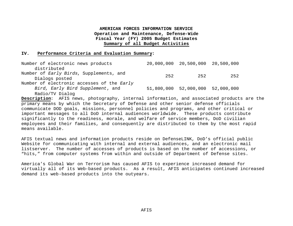#### **IV. Performance Criteria and Evaluation Summary:**

| Number of electronic news products         |     | 20,000,000 20,500,000 20,500,000 |     |
|--------------------------------------------|-----|----------------------------------|-----|
| distributed                                |     |                                  |     |
| Number of Early Birds, Supplements, and    | 252 | 252                              | 252 |
| Dialogs posted                             |     |                                  |     |
| Number of electronic accesses of the Early |     |                                  |     |
| Bird, Early Bird Supplement, and           |     | 51,800,000 52,000,000 52,000,000 |     |
| Radio/TV Dialog                            |     |                                  |     |

**Description**: AFIS news, photography, internal information, and associated products are the primary means by which the Secretary of Defense and other senior defense officials communicate DOD goals, missions, personnel policies and programs, and other critical or important messages to all DoD internal audiences worldwide. These products contribute significantly to the readiness, morale, and welfare of service members, DoD civilian employees and their families, and consequently are distributed to them by the most rapid means available.

AFIS textual news and information products reside on DefenseLINK, DoD's official public Website for communicating with internal and external audiences, and an electronic mail listserver. The number of accesses of products is based on the number of accessions, or "hits," from computer systems from within and outside of Department of Defense sites.

America's Global War on Terrorism has caused AFIS to experience increased demand for virtually all of its Web-based products. As a result, AFIS anticipates continued increased demand its web-based products into the outyears.

AFIS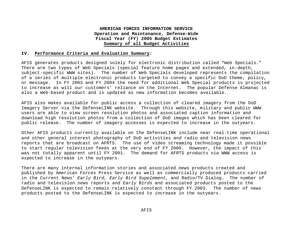#### **IV. Performance Criteria and Evaluation Summary:**

AFIS generates products designed solely for electronic distribution called "Web Specials." There are two types of Web Specials (special feature home pages and extended, in-depth, subject-specific WWW sites). The number of Web Specials developed represents the compilation of a series of multiple electronic products targeted to convey a specific DoD theme, policy, or message. In FY 2003 and FY 2004 the need for additional Web Special products is projected to increase as will our customers' reliance on the Internet. The popular Defense Almanac is also a Web-based product and is updated as new information becomes available.

AFIS also makes available for public access a collection of cleared imagery from the DoD Imagery Server via the DefenseLINK website. Through this website, military and public WWW users are able to view screen resolution photos and associated caption information and download high resolution photos from a collection of DoD images which has been cleared for public release. The number of imagery accesses is expected to increase in the outyears.

Other AFIS products currently available on the DefenseLINK include near real-time operational and other general interest photography of DoD activities and radio and television news reports that are broadcast on AFRTS. The use of video streaming technology made it possible to start regular television feeds at the very end of FY 2000. However, the impact of this was not totally apparent until FY 2001. The demand for AFRTS products via WWW access is expected to increase in the outyears.

There are many internal information stories and associated news products created and published by American Forces Press Service as well as commercially produced products carried in the Current News' *Early Bird, Early Bird Supplement*, and Radio/TV Dialog. The number of radio and television news reports and *Early Birds* and associated products posted to the DefenseLINK is expected to remain relatively constant through FY 2003. The number of news products posted to the DefenseLINK is expected to increase in the outyears.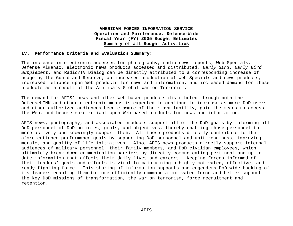#### **IV. Performance Criteria and Evaluation Summary:**

The increase in electronic accesses for photography, radio news reports, Web Specials, Defense Almanac, electronic news products accessed and distributed, *Early Bird*, *Early Bird Supplement*, and Radio/TV Dialog can be directly attributed to a corresponding increase of usage by the Guard and Reserve, an increased production of Web Specials and news products, increased reliance upon Web products for news and information, and increased demand for these products as a result of the America's Global War on Terrorism.

The demand for AFIS' news and other Web-based products distributed through both the DefenseLINK and other electronic means is expected to continue to increase as more DoD users and other authorized audiences become aware of their availability, gain the means to access the Web, and become more reliant upon Web-based products for news and information.

AFIS news, photography, and associated products support all of the DoD goals by informing all DoD personnel of DoD policies, goals, and objectives, thereby enabling those personnel to more actively and knowingly support them. All these products directly contribute to the aforementioned performance goals by supporting DoD personnel and unit readiness, improving morale, and quality of life initiatives. Also, AFIS news products directly support internal audiences of military personnel, their family members, and DoD civilian employees, which ultimately break down communication barriers by directly communicating pertinent and up-todate information that affects their daily lives and careers. Keeping forces informed of their leaders' goals and efforts is vital to maintaining a highly motivated, effective, and ready fighting force. This sharing of information supports and engenders DoD-wide backing of its leaders enabling them to more efficiently command a motivated force and better support the key DoD missions of transformation, the war on terrorism, force recruitment and retention.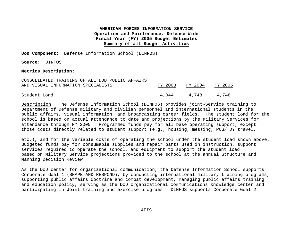**DoD Component:** Defense Information School (DINFOS)

**Source:** DINFOS

#### **Metrics Description:**

| CONSOLIDATED TRAINING OF ALL DOD PUBLIC AFFAIRS |         |             |         |
|-------------------------------------------------|---------|-------------|---------|
| AND VISUAL INFORMATION SPECIALISTS              | FY 2003 | FY 2004     | FY 2005 |
|                                                 |         |             |         |
| Student Load                                    |         | 4.044 4.748 | 4.748   |

Description:The Defense Information School (DINFOS) provides joint-Service training to Department of Defense military and civilian personnel and international students in the public affairs, visual information, and broadcasting career fields. The student load for the school is based on actual attendance to date and projections by the Military Services for attendance through FY 2005.Programmed funds pay for all base operating support, except those costs directly related to student support (e.g., housing, messing, PCS/TDY travel,

etc.), and for the variable costs of operating the school under the student load shown above. Budgeted funds pay for consumable supplies and repair parts used in instruction, support services required to operate the school, and equipment to support the student load based on Military Service projections provided to the school at the annual Structure and Manning Decision Review.

As the DoD center for organizational communication, the Defense Information School supports Corporate Goal 1 (SHAPE AND RESPOND), by conducting international military training programs, supporting public affairs doctrine and combat development, managing public affairs training and education policy, serving as the DoD organizational communications knowledge center and participating in Joint training and exercise programs. DINFOS supports Corporate Goal 2

AFIS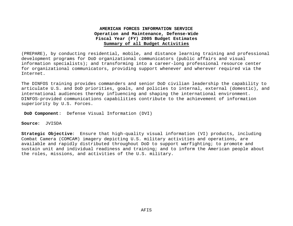(PREPARE), by conducting residential, mobile, and distance learning training and professional development programs for DoD organizational communicators (public affairs and visual information specialists); and transforming into a career-long professional resource center for organizational communicators, providing support whenever and wherever required via the Internet.

The DINFOS training provides commanders and senior DoD civilian leadership the capability to articulate U.S. and DoD priorities, goals, and policies to internal, external (domestic), and international audiences thereby influencing and shaping the international environment. DINFOS-provided communications capabilities contribute to the achievement of information superiority by U.S. Forces.

 **DoD Component**: Defense Visual Information (DVI)

**Source**: JVISDA

**Strategic Objective**: Ensure that high-quality visual information (VI) products, including Combat Camera (COMCAM) imagery depicting U.S. military activities and operations, are available and rapidly distributed throughout DoD to support warfighting; to promote and sustain unit and individual readiness and training; and to inform the American people about the roles, missions, and activities of the U.S. military.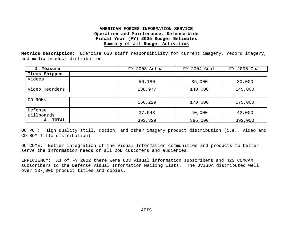**Metrics Description**: Exercise OSD staff responsibility for current imagery, record imagery, and media product distribution.

| I. Measure     | FY 2003 Actual | FY 2004 Goal | FY 2005 Goal |
|----------------|----------------|--------------|--------------|
| Items Shipped  |                |              |              |
| Videos         | 50,180         | 35,000       | 30,000       |
| Video Reorders | 138,977        | 140,000      | 145,000      |

| CD ROMS               | 166,229 | 170,000 | 175,000 |
|-----------------------|---------|---------|---------|
| Defense<br>Billboards | 37,943  | 40,000  | 42,000  |
| <b>TOTAL</b><br>А.    | 393,329 | 385,000 | 392,000 |

OUTPUT: High quality still, motion, and other imagery product distribution (i.e., Video and CD-ROM Title distribution).

OUTCOME: Better integration of the Visual Information communities and products to better serve the information needs of all DoD customers and audiences.

EFFICIENCY: As of FY 2002 there were 603 visual information subscribers and 423 COMCAM subscribers to the Defense Visual Information Mailing Lists. The JVISDA distributed well over 137,000 product titles and copies.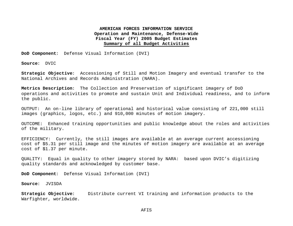**DoD Component**: Defense Visual Information (DVI)

**Source**: DVIC

**Strategic Objective**: Accessioning of Still and Motion Imagery and eventual transfer to the National Archives and Records Administration (NARA).

**Metrics Description**: The Collection and Preservation of significant imagery of DoD operations and activities to promote and sustain Unit and Individual readiness, and to inform the public.

OUTPUT: An on-line library of operational and historical value consisting of 221,000 still images (graphics, logos, etc.) and 910,000 minutes of motion imagery.

OUTCOME: Enhanced training opportunities and public knowledge about the roles and activities of the military.

EFFICIENCY: Currently, the still images are available at an average current accessioning cost of \$5.31 per still image and the minutes of motion imagery are available at an average cost of \$1.37 per minute.

QUALITY: Equal in quality to other imagery stored by NARA: based upon DVIC's digitizing quality standards and acknowledged by customer base.

**DoD Component**: Defense Visual Information (DVI)

**Source**: JVISDA

**Strategic Objective**: Distribute current VI training and information products to the Warfighter, worldwide.

AFIS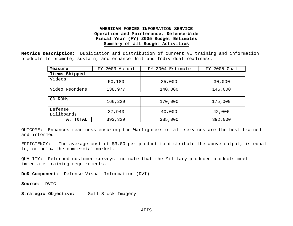**Metrics Description**: Duplication and distribution of current VI training and information products to promote, sustain, and enhance Unit and Individual readiness.

| Measure               | FY 2003 Actual | FY 2004 Estimate | FY 2005 Goal |
|-----------------------|----------------|------------------|--------------|
| Shipped<br>Items      |                |                  |              |
| Videos                | 50,180         | 35,000           | 30,000       |
| Video Reorders        | 138,977        | 140,000          | 145,000      |
|                       |                |                  |              |
| CD ROMS               | 166,229        | 170,000          | 175,000      |
| Defense<br>Billboards | 37,943         | 40,000           | 42,000       |
| <b>TOTAL</b><br>А.    | 393,329        | 385,000          | 392,000      |

OUTCOME: Enhances readiness ensuring the Warfighters of all services are the best trained and informed.

EFFICIENCY: The average cost of \$3.00 per product to distribute the above output, is equal to, or below the commercial market.

QUALITY: Returned customer surveys indicate that the Military-produced products meet immediate training requirements.

**DoD Component**: Defense Visual Information (DVI)

**Source**: DVIC

**Strategic Objective**: Sell Stock Imagery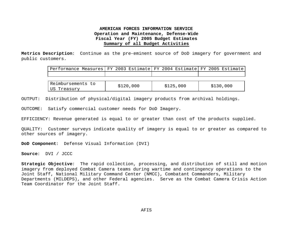**Metrics Description**: Continue as the pre-eminent source of DoD imagery for government and public customers.

| Performance Measures FY 2003 Estimate FY 2004 Estimate FY 2005 Estimate |           |           |           |
|-------------------------------------------------------------------------|-----------|-----------|-----------|
|                                                                         |           |           |           |
|                                                                         |           |           |           |
| Reimbursements to                                                       | \$120,000 | \$125,000 | \$130,000 |
| US Treasury                                                             |           |           |           |

OUTPUT: Distribution of physical/digital imagery products from archival holdings.

OUTCOME: Satisfy commercial customer needs for DoD Imagery.

EFFICIENCY: Revenue generated is equal to or greater than cost of the products supplied.

QUALITY: Customer surveys indicate quality of imagery is equal to or greater as compared to other sources of imagery.

**DoD Component**: Defense Visual Information (DVI)

**Source**: DVI / JCCC

**Strategic Objective**: The rapid collection, processing, and distribution of still and motion imagery from deployed Combat Camera teams during wartime and contingency operations to the Joint Staff, National Military Command Center (NMCC), Combatant Commanders, Military Departments (MILDEPS), and other Federal agencies. Serve as the Combat Camera Crisis Action Team Coordinator for the Joint Staff.

AFIS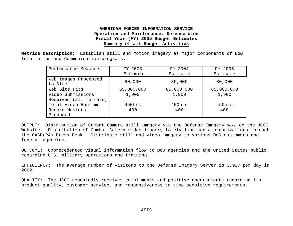**Metrics Description**: Establish still and motion imagery as major components of DoD Information and Communication programs.

| Performance Measures            | FY 2003    | FY 2004    | FY 2005    |
|---------------------------------|------------|------------|------------|
|                                 | Estimate   | Estimate   | Estimate   |
| Web Images Processed<br>to Site | 80,000     | 80,000     | 80,000     |
| Web Site Hits                   | 65,000,000 | 65,000,000 | 65,000,000 |
| Video Submissions               | 1,900      | 1,900      | 1,900      |
| Received (all formats)          |            |            |            |
| Total Video Runtime             | 450hrs     | 450hrs     | 450hrs     |
| Record Masters                  | 400        | 400        | 400        |
| Produced                        |            |            |            |

OUTPUT: Distribution of Combat Camera still imagery via the Defense Imagery Server on the JCCC Website. Distribution of Combat Camera video imagery to civilian media organizations through the OASD(PA) Press Desk. Distribute still and video imagery to various DoD customers and federal agencies.

OUTCOME: Unprecedented visual information flow to DoD agencies and the United States public regarding U.S. military operations and training.

EFFICIENCY: The average number of visitors to the Defense Imagery Server is 3,927 per day in 2002.

QUALITY: The JCCC repeatedly receives compliments and positive endorsements regarding its product quality, customer service, and responsiveness to time sensitive requirements.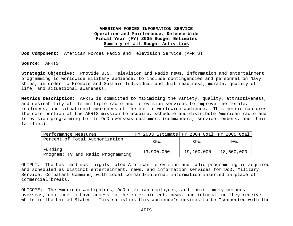**DoD Component:** American Forces Radio and Television Service (AFRTS)

**Source**: AFRTS

**Strategic Objective:** Provide U.S. Television and Radio news, information and entertainment programming to worldwide military audience, to include contingencies and personnel on Navy ships, in order to Promote and Sustain Individual and Unit readiness, morale, quality of life, and situational awareness.

**Metrics Description**: AFRTS is committed to maximizing the variety, quality, attractiveness, and desirability of its multiple radio and television services to improve the morale, readiness, and situational awareness of the entire worldwide audience. This metric captures the core portion of the AFRTS mission to acquire, schedule and distribute American radio and television programming to its DoD overseas customers (commanders, service members, and their families).

| Performance Measures                         | FY 2003 Estimate FY 2004 Goal FY 2005 Goal |            |            |
|----------------------------------------------|--------------------------------------------|------------|------------|
| Percent of Total Authorization               | 35%                                        | 39%        | 40%        |
| Funding<br>Program: TV and Radio Programming | 13,900,000                                 | 19,100,000 | 18,500,000 |

OUTPUT: The best and most highly-rated American television and radio programming is acquired and scheduled as distinct entertainment, news, and information services for DoD, Military Service, Combatant Command, with local command/internal information inserted in-place of commercial breaks.

OUTCOME: The American warfighters, DoD civilian employees, and their family members overseas, continue to have access to the entertainment, news, and information they receive while in the United States. This satisfies this audience's desires to be "connected with the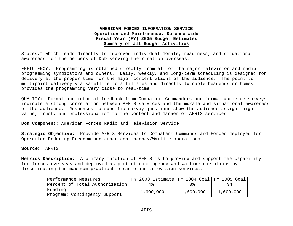States," which leads directly to improved individual morale, readiness, and situational awareness for the members of DoD serving their nation overseas.

EFFICIENCY: Programming is obtained directly from all of the major television and radio programming syndicators and owners. Daily, weekly, and long-term scheduling is designed for delivery at the proper time for the major concentrations of the audience. The point-tomultipoint delivery via satellite to affiliates and directly to cable headends or homes provides the programming very close to real-time.

QUALITY: Formal and informal feedback from Combatant Commanders and formal audience surveys indicate a strong correlation between AFRTS services and the morale and situational awareness of the audience. Responses to specific survey questions show the audience assigns high value, trust, and professionalism to the content and manner of AFRTS services.

**DoD Component:** American Forces Radio and Television Service

**Strategic Objective:** Provide AFRTS Services to Combatant Commands and Forces deployed for Operation Enduring Freedom and other contingency/Wartime operations

**Source**: AFRTS

**Metrics Description:** A primary function of AFRTS is to provide and support the capability for forces overseas and deployed as part of contingency and wartime operations by disseminating the maximum practicable radio and television services.

| Performance Measures           | FY 2003 Estimate FY 2004 Goal FY 2005 Goal |           |           |
|--------------------------------|--------------------------------------------|-----------|-----------|
| Percent of Total Authorization | 4%                                         |           |           |
| Funding                        | 1,600,000                                  | 1,600,000 | 1,600,000 |
| Program: Contingency Support   |                                            |           |           |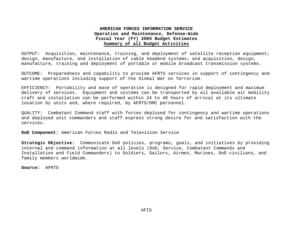OUTPUT: Acquisition, maintenance, training, and deployment of satellite reception equipment; design, manufacture, and installation of cable headend systems; and acquisition, design, manufacture, training and deployment of portable or mobile broadcast transmission systems.

OUTCOME: Preparedness and capability to provide AFRTS services in support of contingency and wartime operations including support of the Global War on Terrorism.

EFFICIENCY: Portability and ease of operation is designed for rapid deployment and maximum delivery of services. Equipment and systems can be transported by all available air mobility craft and installation can be performed within 24 to 48 hours of arrival at its ultimate location by units and, where required, by AFRTS/DMC personnel.

QUALITY: Combatant Command staff with forces deployed for contingency and wartime operations and deployed unit commanders and staff express strong desire for and satisfaction with the services.

**DoD Component:** American Forces Radio and Television Service

**Strategic Objective:** Communicate DoD policies, programs, goals, and initiatives by providing internal and command information at all levels (DoD, Service, Combatant Commands and Installation and Field Commanders) to Soldiers, Sailors, Airmen, Marines, DoD civilians, and family members worldwide.

**Source:** AFRTS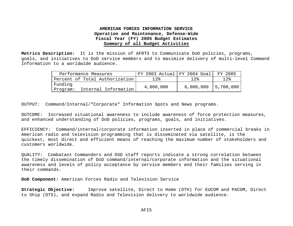**Metrics Description:** It is the mission of AFRTS to Communicate DoD policies, programs, goals, and initiatives to DoD service members and to maximize delivery of multi-level Command Information to a worldwide audience.

| Performance Measures                        | $'$ FY 2003 Actual FY 2004 Goal |           | FY 2005    |
|---------------------------------------------|---------------------------------|-----------|------------|
| Percent of Total Authorization              | $12\%$                          | 12.8      | $12\%$     |
| Funding<br>Internal Information<br>Program: | 4,800,000                       | 6,000,000 | 15,700,000 |

OUTPUT: Command/Internal/"Corporate" Information Spots and News programs.

OUTCOME: Increased situational awareness to include awareness of force protection measures, and enhanced understanding of DoD policies, programs, goals, and initiatives.

EFFICIENCY: Command/internal/corporate information inserted in place of commercial breaks in American radio and television programming that is disseminated via satellite, is the quickest, most direct and efficient means of reaching the maximum number of stakeholders and customers worldwide.

QUALITY: Combatant Commanders and OSD staff reports indicate a strong correlation between the timely dissemination of DoD command/internal/corporate information and the situational awareness and levels of policy acceptance by service members and their families serving in their commands.

**DoD Component:** American Forces Radio and Television Service

**Strategic Objective:** Improve satellite, Direct to Home (DTH) for EUCOM and PACOM, Direct to Ship (DTS), and expand Radio and Television delivery to worldwide audience.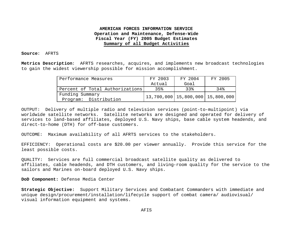**Source**: AFRTS

**Metrics Description**: AFRTS researches, acquires, and implements new broadcast technologies to gain the widest viewership possible for mission accomplishment.

| Performance Measures            | FY 2003 | FY 2004                                      | FY 2005 |
|---------------------------------|---------|----------------------------------------------|---------|
|                                 | Actual  | Goal                                         |         |
| Percent of Total Authorizations | 35%     | 33%                                          | 34%     |
| Funding Summary                 |         | $\vert$ 13,700,000   15,800,000   15,800,000 |         |
| Program: Distribution           |         |                                              |         |

OUTPUT: Delivery of multiple radio and television services (point-to-multipoint) via worldwide satellite networks. Satellite networks are designed and operated for delivery of services to land-based affiliates, deployed U.S. Navy ships, base cable system headends, and direct-to-home (DTH) for off-base customers.

OUTCOME: Maximum availability of all AFRTS services to the stakeholders.

EFFICIENCY: Operational costs are \$20.00 per viewer annually. Provide this service for the least possible costs.

QUALITY: Services are full commercial broadcast satellite quality as delivered to affiliates, cable headends, and DTH customers, and living-room quality for the service to the sailors and Marines on-board deployed U.S. Navy ships.

**DoD Component:** Defense Media Center

**Strategic Objective:** Support Military Services and Combatant Commanders with immediate and unique design/procurement/installation/lifecycle support of combat camera/ audiovisual/ visual information equipment and systems.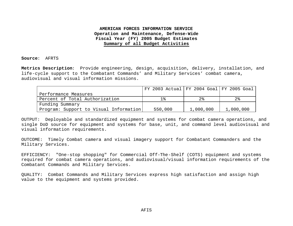**Source**: AFRTS

**Metrics Description**: Provide engineering, design, acquisition, delivery, installation, and life-cycle support to the Combatant Commands' and Military Services' combat camera, audiovisual and visual information missions.

|                                        | FY 2003 Actual FY 2004 Goal FY 2005 Goal |                |                |
|----------------------------------------|------------------------------------------|----------------|----------------|
| Performance Measures                   |                                          |                |                |
| Percent of Total Authorization         |                                          | 2 <sup>8</sup> | 2 <sub>8</sub> |
| Funding Summary                        |                                          |                |                |
| Program: Support to Visual Information | 550,000                                  | 1,000,000      | 1,000,000      |

OUTPUT: Deployable and standardized equipment and systems for combat camera operations, and single DoD source for equipment and systems for base, unit, and command level audiovisual and visual information requirements.

OUTCOME: Timely Combat camera and visual imagery support for Combatant Commanders and the Military Services.

EFFICIENCY: "One-stop shopping" for Commercial Off-The-Shelf (COTS) equipment and systems required for combat camera operations, and audiovisual/visual information requirements of the Combatant Commands and Military Services.

QUALITY: Combat Commands and Military Services express high satisfaction and assign high value to the equipment and systems provided.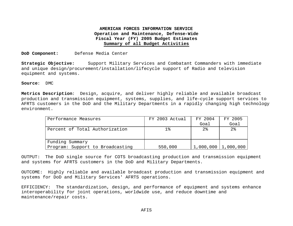**DoD Component:** Defense Media Center

**Strategic Objective:** Support Military Services and Combatant Commanders with immediate and unique design/procurement/installation/lifecycle support of Radio and television equipment and systems.

**Source**: DMC

**Metrics Description**: Design, acquire, and deliver highly reliable and available broadcast production and transmission equipment, systems, supplies, and life-cycle support services to AFRTS customers in the DoD and the Military Departments in a rapidly changing high technology environment.

| Performance Measures             | FY 2003 Actual | FY 2004 | FY 2005                 |
|----------------------------------|----------------|---------|-------------------------|
|                                  |                | Goal    | Goal                    |
| Percent of Total Authorization   | $1\,$          | $2\,$   | 2 <sup>°</sup>          |
|                                  |                |         |                         |
|                                  |                |         |                         |
| Funding Summary                  |                |         |                         |
| Program: Support to Broadcasting | 550,000        |         | $1,000,000$   1,000,000 |

OUTPUT: The DoD single source for COTS broadcasting production and transmission equipment and systems for AFRTS customers in the DoD and Military Departments.

OUTCOME: Highly reliable and available broadcast production and transmission equipment and systems for DoD and Military Services' AFRTS operations.

EFFICIENCY: The standardization, design, and performance of equipment and systems enhance interoperability for joint operations, worldwide use, and reduce downtime and maintenance/repair costs.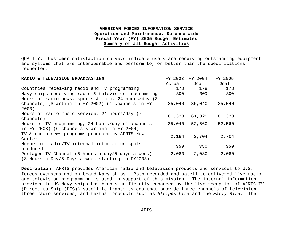QUALITY: Customer satisfaction surveys indicate users are receiving outstanding equipment and systems that are interoperable and perform to, or better than the specifications requested.

| RADIO & TELEVISION BROADCASTING                                                                       | FY 2003 | FY 2004 | FY 2005 |
|-------------------------------------------------------------------------------------------------------|---------|---------|---------|
|                                                                                                       | Actual  | Goal    | Goal    |
| Countries receiving radio and TV programming                                                          | 178     | 178     | 178     |
| Navy ships receiving radio & television programming                                                   | 300     | 300     | 300     |
| Hours of radio news, sports $\&$ info, 24 hours/day (3                                                |         |         |         |
| channels; (Starting in FY 2002) (4 channels in FY<br>2003)                                            | 35,040  | 35,040  | 35,040  |
| Hours of radio music service, 24 hours/day (7<br>channels)                                            | 61,320  | 61,320  | 61,320  |
| Hours of TV programming, 24 hours/day (4 channels<br>in FY 2003) (6 channels starting in FY 2004)     | 35,040  | 52,560  | 52,560  |
| TV & radio news programs produced by AFRTS News<br>Center                                             | 2,184   | 2,704   | 2,704   |
| Number of radio/TV internal information spots<br>produced                                             | 350     | 350     | 350     |
| Pentagon TV Channel (6 hours a day/5 days a week)<br>(8 Hours a Day/5 Days a week starting in FY2003) | 2,080   | 2,080   | 2,080   |

**Description**: AFRTS provides American radio and television products and services to U.S. forces overseas and on-board Navy ships. Both recorded and satellite-delivered live radio and television programming is used in support of this mission. The internal information provided to US Navy ships has been significantly enhanced by the live reception of AFRTS TV (Direct-to-Ship (DTS)) satellite transmissions that provide three channels of television, three radio services, and textual products such as *Stripes Lite* and the *Early Bird*. The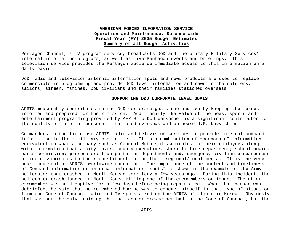Pentagon Channel, a TV program service, broadcasts DoD and the primary Military Services' internal information programs, as well as live Pentagon events and briefings. This television service provides the Pentagon audience immediate access to this information on a daily basis.

DoD radio and television internal information spots and news products are used to replace commercials in programming and provide DoD level information and news to the soldiers, sailors, airmen, Marines, DoD civilians and their families stationed overseas.

#### **SUPPORTING DoD CORPORATE LEVEL GOALS**

AFRTS measurably contributes to the DoD corporate goals one and two by keeping the forces informed and prepared for their mission. Additionally the value of the news, sports and entertainment programming provided by AFRTS to DoD personnel is a significant contributor to the quality of life for personnel stationed overseas and on-board U.S. Navy ships.

Commanders in the field use AFRTS radio and television services to provide internal command information to their military communities. It is a combination of "corporate" information equivalent to what a company such as General Motors disseminates to their employees along with information that a city mayor, county executive, sheriff; fire department; school board; parks commission; prosecutor; transportation department; and, emergency civilian preparedness office disseminates to their constituents using their regional/local media. It is the very heart and soul of AFRTS' worldwide operation. The importance of the content and timeliness of Command information or internal information "spots" is shown in the example of the Army helicopter that crashed in North Korean territory a few years ago. During this incident, the helicopter crash-landed in North Korea killing one of the crewmembers on impact. The other crewmember was held captive for a few days before being repatriated. When that person was debriefed, he said that he remembered how he was to conduct himself in that type of situation from the Code of Conduct radio and TV spots aired on the AFRTS affiliate in Korea. Obviously that was not the only training this helicopter crewmember had in the Code of Conduct, but the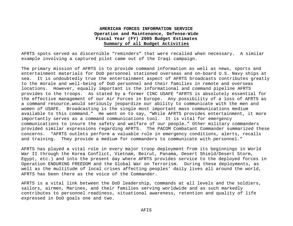AFRTS spots served as discernible "reminders" that were recalled when necessary. A similar example involving a captured pilot came out of the Iraqi campaign.

The primary mission of AFRTS is to provide command information as well as news, sports and entertainment materials for DoD personnel stationed overseas and on-board U.S. Navy ships at sea. It is undoubtedly true the entertainment aspect of AFRTS broadcasts contributes greatly to the morale and well-being of DoD personnel and their families in remote and overseas locations. However, equally important is the informational and command pipeline AFRTS provides to the troops. As stated by a former CINC USAFE "AFRTS is absolutely essential for the effective management of our Air Forces in Europe. Any possibility of a loss of AFRTS as a command resource…would seriously jeopardize our ability to communicate with the men and women of USAFE. Broadcasting is the single most important mass communications medium available to this command." He went on to say, "While AFRTS provides entertainment, it more importantly serves as a command communications tool. It is vital for emergency communications to insure the safety and welfare of our people…" Other military commanders provided similar expressions regarding AFRTS. The PACOM Combatant Commander summarized these concerns. "AFRTS outlets perform a valuable role in emergency conditions, alerts, recalls and training. They provide a medium for commanders to communicate with personnel."

AFRTS has played a vital role in every major troop deployment from its beginnings in World War II through the Korea Conflict, Vietnam, Beirut, Panama, Desert Shield/Desert Storm, Egypt, etc.) and into the present day where AFRTS provides service to the deployed forces in Operation ENDURING FREEDOM and the Global War on Terrorism. During these deployments, as well as the multitude of local crises affecting peoples' daily lives all around the world, AFRTS has been there as the voice of the Commander.

AFRTS is a vital link between the DoD leadership, commands at all levels and the soldiers, sailors, airmen, Marines, and their families serving worldwide and as such markedly contributes to personnel readiness, situational awareness, retention and quality of life expressed in DoD goals one and two.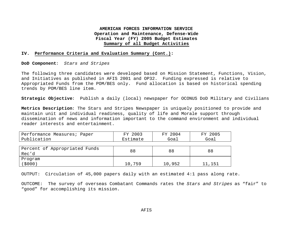#### **IV. Performance Criteria and Evaluation Summary (Cont.):**

**DoD Component**: *Stars and Stripes*

The following three candidates were developed based on Mission Statement, Functions, Vision, and Initiatives as published in AFIS 2001 and OP32. Funding expressed is relative to Appropriated Funds from the POM/BES only. Fund allocation is based on historical spending trends by POM/BES line item.

**Strategic Objective**: Publish a daily (local) newspaper for OCONUS DoD Military and Civilians

**Metrics Description**: The Stars and Stripes Newspaper is uniquely positioned to provide and maintain unit and individual readiness, quality of life and Morale support through dissemination of news and information important to the command environment and individual reader interests and entertainment.

| Performance Measures; Paper   | FY 2003  | FY 2004 | FY 2005 |
|-------------------------------|----------|---------|---------|
| Publication                   | Estimate | Goal    | Goal    |
|                               |          |         |         |
| Percent of Appropriated Funds | 88       | 88      | 88      |
| Rec'd                         |          |         |         |
| Program                       |          |         |         |
| (5000)                        | 10,759   | 10,952  | 11,151  |

OUTPUT: Circulation of 45,000 papers daily with an estimated 4:1 pass along rate.

OUTCOME: The survey of overseas Combatant Commands rates the *Stars and Stripes* as "fair" to "good" for accomplishing its mission.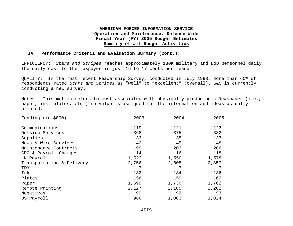#### **IV. Performance Criteria and Evaluation Summary (Cont.):**

EFFICIENCY: *Stars and Stripes* reaches approximately 180K military and DoD personnel daily. The daily cost to the taxpayer is just 16 to 17 cents per reader.

QUALITY: In the most recent Readership Survey, conducted in July 1998, more than 60% of respondents rated *Stars and Stripes* as "well" to "excellent" (overall). S&S is currently conducting a new survey.

Notes: This metric refers to cost associated with physically producing a Newspaper (i.e., paper, ink, plates, etc.) no value is assigned for the information and ideas actually printed.

| Funding (in \$000)        | 2003  | 2004  | 2005  |
|---------------------------|-------|-------|-------|
| Communications            | 119   | 121   | 123   |
| Outside Services          | 368   | 375   | 382   |
| Supplies                  | 133   | 135   | 137   |
| News & Wire Services      | 142   | 145   | 148   |
| Maintenance Contracts     | 199   | 203   | 206   |
| CPO & Payroll Charges     | 114   | 116   | 118   |
| LN Payroll                | 1,523 | 1,550 | 1,578 |
| Transportation & Delivery | 2,756 | 2,805 | 2,857 |
| TDY                       | 7     | 7     |       |
| Ink                       | 132   | 134   | 136   |
| Plates                    | 156   | 159   | 162   |
| Paper                     | 1,699 | 1,730 | 1,762 |
| Remote Printing           | 2,127 | 2,165 | 2,202 |
| Negatives                 | 90    | 92    | 93    |
| US Payroll                | 986   | 1,003 | 1,024 |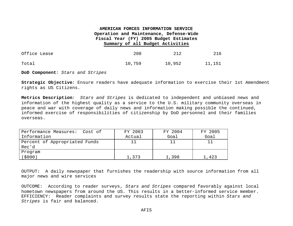| Office Lease | 208    | 212    | 216    |
|--------------|--------|--------|--------|
| Total        | 10,759 | 10,952 | 11,151 |

**DoD Component**: *Stars and Stripes*

**Strategic Objective**: Ensure readers have adequate information to exercise their 1st Amendment rights as US Citizens.

**Metrics Description**: *Stars and Stripes* is dedicated to independent and unbiased news and information of the highest quality as a service to the U.S. military community overseas in peace and war with coverage of daily news and information making possible the continued, informed exercise of responsibilities of citizenship by DoD personnel and their families overseas.

| Performance Measures: Cost of | FY 2003 | FY 2004 | FY 2005 |
|-------------------------------|---------|---------|---------|
| Information                   | Actual  | Goal    | Goal    |
| Percent of Appropriated Funds |         |         | 11      |
| Rec'd                         |         |         |         |
| Program                       |         |         |         |
| 5000)                         | 1,373   | 1,398   | 1,423   |

OUTPUT: A daily newspaper that furnishes the readership with source information from all major news and wire services

OUTCOME: According to reader surveys, *Stars and Stripes* compared favorably against local hometown newspapers from around the US. This results in a better-informed service member. EFFICIENCY: Reader complaints and survey results state the reporting within *Stars and Stripes* is fair and balanced.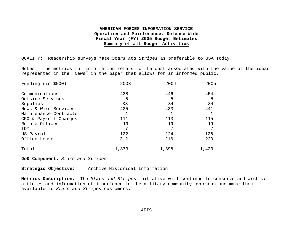QUALITY: Readership surveys rate *Stars and Stripes* as preferable to USA Today.

Notes: The metrics for information refers to the cost associated with the value of the ideas represented in the "News" in the paper that allows for an informed public.

| Funding (in \$000)    | 2003  | 2004  | 2005  |
|-----------------------|-------|-------|-------|
| Communications        | 438   | 446   | 454   |
| Outside Services      | 5     | 5     | 5     |
| Supplies              | 33    | 34    | 34    |
| News & Wire Services  | 425   | 433   | 441   |
| Maintenance Contracts |       |       |       |
| CPO & Payroll Charges | 111   | 113   | 115   |
| Remote Offices        | 19    | 19    | 19    |
| TDY                   | 7     | ヮ     | 7     |
| US Payroll            | 122   | 124   | 126   |
| Office Lease          | 212   | 216   | 220   |
| Total                 | 1,373 | 1,398 | 1,423 |

**DoD Component**: *Stars and Stripes*

**Strategic Objective**: Archive Historical Information

**Metrics Description**: The *Stars and Stripes* initiative will continue to conserve and archive articles and information of importance to the military community overseas and make them available to *Stars and Stripes* customers.